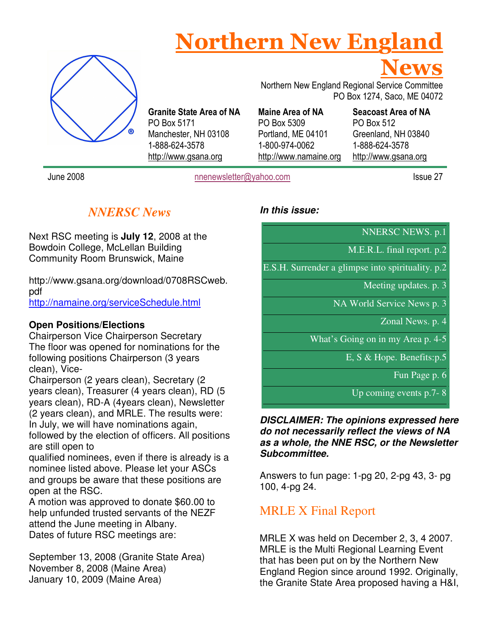# Northern New England



Granite State Area of NA PO Box 5171 Manchester, NH 03108 1-888-624-3578 http://www.gsana.org

 PO Box 1274, Saco, ME 04072 Maine Area of NA PO Box 5309 Portland, ME 04101 Seacoast Area of NA

http://www.namaine.org PO Box 512 Greenland, NH 03840 1-888-624-3578 http://www.gsana.org

Northern New England Regional Service Committee

June 2008 **nnenewsletter@yahoo.com** Issue 27

**News** 

# *NNERSC News*

Next RSC meeting is **July 12**, 2008 at the Bowdoin College, McLellan Building Community Room Brunswick, Maine

http://www.gsana.org/download/0708RSCweb. pdf http://namaine.org/serviceSchedule.html

### **Open Positions/Elections**

Chairperson Vice Chairperson Secretary The floor was opened for nominations for the following positions Chairperson (3 years clean), Vice-

Chairperson (2 years clean), Secretary (2 years clean), Treasurer (4 years clean), RD (5 years clean), RD-A (4years clean), Newsletter (2 years clean), and MRLE. The results were: In July, we will have nominations again,

followed by the election of officers. All positions are still open to

qualified nominees, even if there is already is a nominee listed above. Please let your ASCs and groups be aware that these positions are open at the RSC.

A motion was approved to donate \$60.00 to help unfunded trusted servants of the NEZF attend the June meeting in Albany. Dates of future RSC meetings are:

September 13, 2008 (Granite State Area) November 8, 2008 (Maine Area) January 10, 2009 (Maine Area)

**In this issue:** 

1-800-974-0062

NNERSC NEWS. p.1

M.E.R.L. final report. p.2

E.S.H. Surrender a glimpse into spirituality. p.2

Meeting updates. p. 3

NA World Service News p. 3

Zonal News. p. 4

What's Going on in my Area p. 4-5

E, S & Hope. Benefits:p.5

Fun Page p. 6

Up coming events p.7- 8

### **DISCLAIMER: The opinions expressed here do not necessarily reflect the views of NA as a whole, the NNE RSC, or the Newsletter Subcommittee.**

Answers to fun page: 1-pg 20, 2-pg 43, 3- pg 100, 4-pg 24.

# MRLE X Final Report

MRLE X was held on December 2, 3, 4 2007. MRLE is the Multi Regional Learning Event that has been put on by the Northern New England Region since around 1992. Originally, the Granite State Area proposed having a H&I,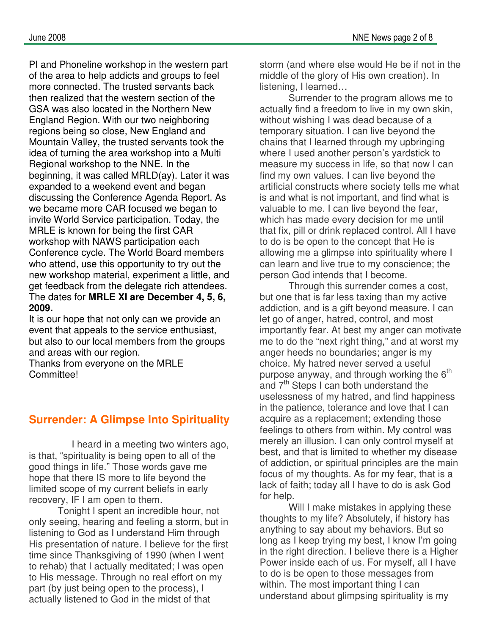PI and Phoneline workshop in the western part of the area to help addicts and groups to feel more connected. The trusted servants back then realized that the western section of the GSA was also located in the Northern New England Region. With our two neighboring regions being so close, New England and Mountain Valley, the trusted servants took the idea of turning the area workshop into a Multi Regional workshop to the NNE. In the beginning, it was called MRLD(ay). Later it was expanded to a weekend event and began discussing the Conference Agenda Report. As we became more CAR focused we began to invite World Service participation. Today, the MRLE is known for being the first CAR workshop with NAWS participation each Conference cycle. The World Board members who attend, use this opportunity to try out the new workshop material, experiment a little, and get feedback from the delegate rich attendees. The dates for **MRLE XI are December 4, 5, 6, 2009.**

It is our hope that not only can we provide an event that appeals to the service enthusiast, but also to our local members from the groups and areas with our region.

Thanks from everyone on the MRLE Committee!

# **Surrender: A Glimpse Into Spirituality**

 I heard in a meeting two winters ago, is that, "spirituality is being open to all of the good things in life." Those words gave me hope that there IS more to life beyond the limited scope of my current beliefs in early recovery, IF I am open to them.

Tonight I spent an incredible hour, not only seeing, hearing and feeling a storm, but in listening to God as I understand Him through His presentation of nature. I believe for the first time since Thanksgiving of 1990 (when I went to rehab) that I actually meditated; I was open to His message. Through no real effort on my part (by just being open to the process), I actually listened to God in the midst of that

storm (and where else would He be if not in the middle of the glory of His own creation). In listening, I learned…

Surrender to the program allows me to actually find a freedom to live in my own skin, without wishing I was dead because of a temporary situation. I can live beyond the chains that I learned through my upbringing where I used another person's yardstick to measure my success in life, so that now I can find my own values. I can live beyond the artificial constructs where society tells me what is and what is not important, and find what is valuable to me. I can live beyond the fear, which has made every decision for me until that fix, pill or drink replaced control. All I have to do is be open to the concept that He is allowing me a glimpse into spirituality where I can learn and live true to my conscience; the person God intends that I become.

Through this surrender comes a cost, but one that is far less taxing than my active addiction, and is a gift beyond measure. I can let go of anger, hatred, control, and most importantly fear. At best my anger can motivate me to do the "next right thing," and at worst my anger heeds no boundaries; anger is my choice. My hatred never served a useful purpose anyway, and through working the  $6<sup>th</sup>$ and 7<sup>th</sup> Steps I can both understand the uselessness of my hatred, and find happiness in the patience, tolerance and love that I can acquire as a replacement; extending those feelings to others from within. My control was merely an illusion. I can only control myself at best, and that is limited to whether my disease of addiction, or spiritual principles are the main focus of my thoughts. As for my fear, that is a lack of faith; today all I have to do is ask God for help.

Will I make mistakes in applying these thoughts to my life? Absolutely, if history has anything to say about my behaviors. But so long as I keep trying my best, I know I'm going in the right direction. I believe there is a Higher Power inside each of us. For myself, all I have to do is be open to those messages from within. The most important thing I can understand about glimpsing spirituality is my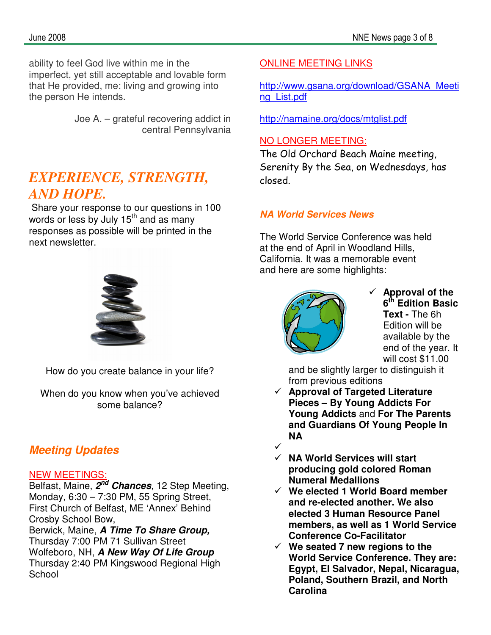ability to feel God live within me in the imperfect, yet still acceptable and lovable form that He provided, me: living and growing into the person He intends.

> Joe A. – grateful recovering addict in central Pennsylvania

# *EXPERIENCE, STRENGTH, AND HOPE.*

Share your response to our questions in 100 words or less by July  $15<sup>th</sup>$  and as many responses as possible will be printed in the next newsletter.



How do you create balance in your life?

When do you know when you've achieved some balance?

# **Meeting Updates**

# NEW MEETINGS:

Belfast, Maine, **2 nd Chances**, 12 Step Meeting, Monday, 6:30 – 7:30 PM, 55 Spring Street, First Church of Belfast, ME 'Annex' Behind Crosby School Bow, Berwick, Maine, **A Time To Share Group,**  Thursday 7:00 PM 71 Sullivan Street Wolfeboro, NH, **A New Way Of Life Group**  Thursday 2:40 PM Kingswood Regional High **School** 

# ONLINE MEETING LINKS

http://www.gsana.org/download/GSANA\_Meeti ng\_List.pdf

http://namaine.org/docs/mtglist.pdf

# NO LONGER MEETING:

The Old Orchard Beach Maine meeting, Serenity By the Sea, on Wednesdays, has closed.

# **NA World Services News**

The World Service Conference was held at the end of April in Woodland Hills, California. It was a memorable event and here are some highlights:



 $\checkmark$  Approval of the **6 th Edition Basic Text -** The 6h Edition will be available by the end of the year. It will cost \$11.00

and be slightly larger to distinguish it from previous editions

- **Approval of Targeted Literature Pieces – By Young Addicts For Young Addicts** and **For The Parents and Guardians Of Young People In NA**  ✓
- **NA World Services will start producing gold colored Roman Numeral Medallions**
- **We elected 1 World Board member and re-elected another. We also elected 3 Human Resource Panel members, as well as 1 World Service Conference Co-Facilitator**
- **We seated 7 new regions to the World Service Conference. They are: Egypt, El Salvador, Nepal, Nicaragua, Poland, Southern Brazil, and North Carolina**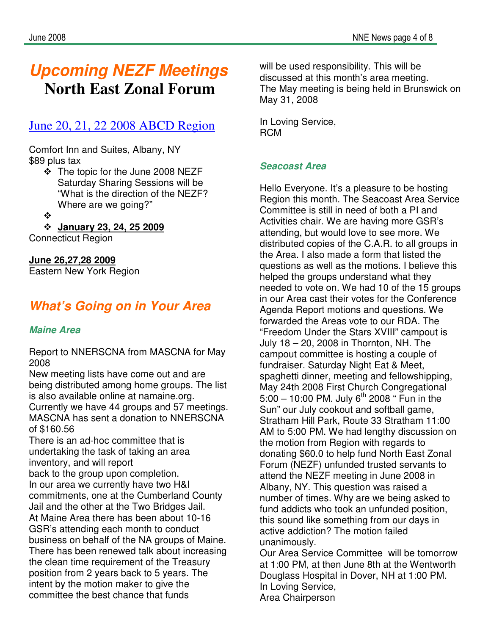# **Upcoming NEZF Meetings North East Zonal Forum**

# June 20, 21, 22 2008 ABCD Region

Comfort Inn and Suites, Albany, NY \$89 plus tax

The topic for the June 2008 NEZF Saturday Sharing Sessions will be "What is the direction of the NEZF? Where are we going?"

❖

**January 23, 24, 25 2009**

Connecticut Region

**June 26,27,28 2009**  Eastern New York Region

# **What's Going on in Your Area**

# **Maine Area**

Report to NNERSCNA from MASCNA for May 2008

New meeting lists have come out and are being distributed among home groups. The list is also available online at namaine.org. Currently we have 44 groups and 57 meetings. MASCNA has sent a donation to NNERSCNA of \$160.56

There is an ad-hoc committee that is undertaking the task of taking an area inventory, and will report back to the group upon completion. In our area we currently have two H&I commitments, one at the Cumberland County Jail and the other at the Two Bridges Jail. At Maine Area there has been about 10-16 GSR's attending each month to conduct business on behalf of the NA groups of Maine. There has been renewed talk about increasing the clean time requirement of the Treasury position from 2 years back to 5 years. The intent by the motion maker to give the committee the best chance that funds

will be used responsibility. This will be discussed at this month's area meeting. The May meeting is being held in Brunswick on May 31, 2008

In Loving Service, RCM

## **Seacoast Area**

Hello Everyone. It's a pleasure to be hosting Region this month. The Seacoast Area Service Committee is still in need of both a PI and Activities chair. We are having more GSR's attending, but would love to see more. We distributed copies of the C.A.R. to all groups in the Area. I also made a form that listed the questions as well as the motions. I believe this helped the groups understand what they needed to vote on. We had 10 of the 15 groups in our Area cast their votes for the Conference Agenda Report motions and questions. We forwarded the Areas vote to our RDA. The "Freedom Under the Stars XVIII" campout is July 18 – 20, 2008 in Thornton, NH. The campout committee is hosting a couple of fundraiser. Saturday Night Eat & Meet, spaghetti dinner, meeting and fellowshipping, May 24th 2008 First Church Congregational  $5:00 - 10:00$  PM. July 6<sup>th</sup> 2008 " Fun in the Sun" our July cookout and softball game, Stratham Hill Park, Route 33 Stratham 11:00 AM to 5:00 PM. We had lengthy discussion on the motion from Region with regards to donating \$60.0 to help fund North East Zonal Forum (NEZF) unfunded trusted servants to attend the NEZF meeting in June 2008 in Albany, NY. This question was raised a number of times. Why are we being asked to fund addicts who took an unfunded position, this sound like something from our days in active addiction? The motion failed unanimously.

Our Area Service Committee will be tomorrow at 1:00 PM, at then June 8th at the Wentworth Douglass Hospital in Dover, NH at 1:00 PM. In Loving Service, Area Chairperson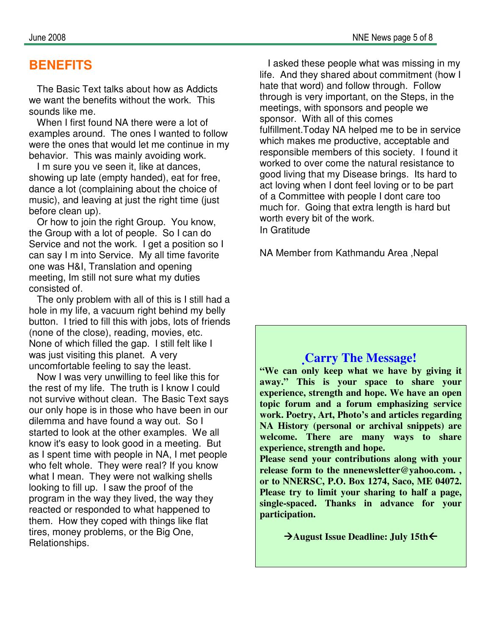# **BENEFITS**

 The Basic Text talks about how as Addicts we want the benefits without the work. This sounds like me.

 When I first found NA there were a lot of examples around. The ones I wanted to follow were the ones that would let me continue in my behavior. This was mainly avoiding work.

 I m sure you ve seen it, like at dances, showing up late (empty handed), eat for free, dance a lot (complaining about the choice of music), and leaving at just the right time (just before clean up).

 Or how to join the right Group. You know, the Group with a lot of people. So I can do Service and not the work. I get a position so I can say I m into Service. My all time favorite one was H&I, Translation and opening meeting, Im still not sure what my duties consisted of.

 The only problem with all of this is I still had a hole in my life, a vacuum right behind my belly button. I tried to fill this with jobs, lots of friends (none of the close), reading, movies, etc. None of which filled the gap. I still felt like I was just visiting this planet. A very uncomfortable feeling to say the least.

 Now I was very unwilling to feel like this for the rest of my life. The truth is I know I could not survive without clean. The Basic Text says our only hope is in those who have been in our dilemma and have found a way out. So I started to look at the other examples. We all know it's easy to look good in a meeting. But as I spent time with people in NA, I met people who felt whole. They were real? If you know what I mean. They were not walking shells looking to fill up. I saw the proof of the program in the way they lived, the way they reacted or responded to what happened to them. How they coped with things like flat tires, money problems, or the Big One, Relationships.

 I asked these people what was missing in my life. And they shared about commitment (how I hate that word) and follow through. Follow through is very important, on the Steps, in the meetings, with sponsors and people we sponsor. With all of this comes fulfillment.Today NA helped me to be in service which makes me productive, acceptable and responsible members of this society. I found it worked to over come the natural resistance to good living that my Disease brings. Its hard to act loving when I dont feel loving or to be part of a Committee with people I dont care too much for. Going that extra length is hard but worth every bit of the work. In Gratitude

NA Member from Kathmandu Area ,Nepal

# **Carry The Message!**

**"We can only keep what we have by giving it away." This is your space to share your experience, strength and hope. We have an open topic forum and a forum emphasizing service work. Poetry, Art, Photo's and articles regarding NA History (personal or archival snippets) are welcome. There are many ways to share experience, strength and hope.** 

**Please send your contributions along with your release form to the nnenewsletter@yahoo.com. , or to NNERSC, P.O. Box 1274, Saco, ME 04072. Please try to limit your sharing to half a page, single-spaced. Thanks in advance for your participation.** 

**→ August Issue Deadline: July 15th**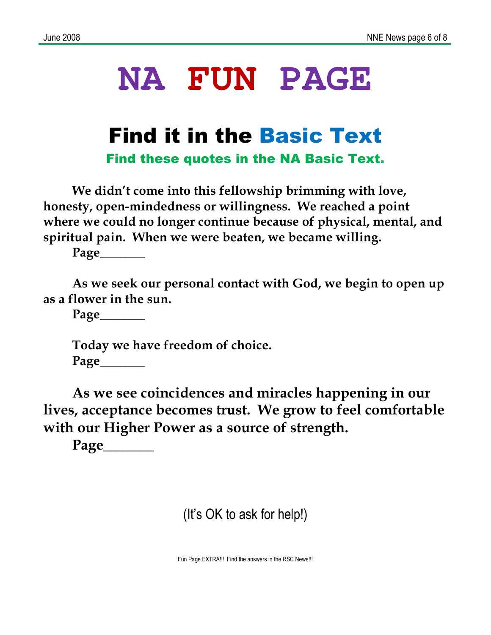# **NA FUN PAGE**

# Find it in the Basic Text

Find these quotes in the NA Basic Text.

We didn't come into this fellowship brimming with love, honesty, open-mindedness or willingness. We reached a point where we could no longer continue because of physical, mental, and spiritual pain. When we were beaten, we became willing.

Page\_\_\_\_\_\_\_

As we seek our personal contact with God, we begin to open up as a flower in the sun.

Page\_\_\_\_\_\_\_

Today we have freedom of choice. Page\_\_\_\_\_\_\_

As we see coincidences and miracles happening in our lives, acceptance becomes trust. We grow to feel comfortable with our Higher Power as a source of strength.

Page

(It's OK to ask for help!)

Fun Page EXTRA!!! Find the answers in the RSC News!!!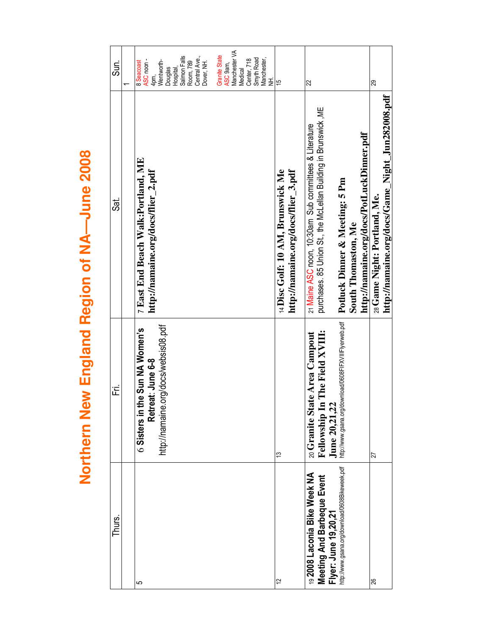# Northern New England Region of NA-June 2008 **Northern New England Region of NA—June 2008**

| Sun.   | Granite State<br>Salmon Falls<br>Central Ave.,<br>ASC noon -<br>4pm,<br>Wentworth-<br>8 Seacoast<br>Room, 789<br>Dover, NH.<br>Douglas<br>Hospital, | Manchester VA<br>Smyth Road<br>Manchester,<br>Center, 718<br>ASC 9am,<br>Medical | 王<br>三<br>15                                                             | 22                                                                                                                        |                                                                                                    | 29                                                                               |
|--------|-----------------------------------------------------------------------------------------------------------------------------------------------------|----------------------------------------------------------------------------------|--------------------------------------------------------------------------|---------------------------------------------------------------------------------------------------------------------------|----------------------------------------------------------------------------------------------------|----------------------------------------------------------------------------------|
| ್ಯ     | 7 East End Beach Walk:Portland, ME<br>http://namaine.org/docs/flier_2.pdf                                                                           |                                                                                  | http://namaine.org/docs/flier_3.pdf<br>14 Disc Golf: 10 AM, Brunswick Me | purchases. 85 Union St., the McLellan Building in Brunswick, ME<br>21 Maine ASC noon, 10:30am Sub committees & Literature | http://namaine.org/docs/PotLuckDinner.pdf<br>Potluck Dinner & Meeting: 5 Pm<br>South Thomaston, Me | http://namaine.org/docs/Game_Night_Jun282008.pdf<br>28 Game Night: Portland, Me. |
| 定      | http://namaine.org/docs/websis08.pdf<br>the Sun NA Women's<br>eat: June 6-8<br>Retre<br>6 Sisters in t                                              |                                                                                  | 13                                                                       | n The Field XVIII:<br>20 Granite State Area Campout<br><b>June 20,21,22</b><br>Fellowship In                              | http://www.gsana.org/download/0608FIFXVIIIFlyerweb.pdf                                             | 27                                                                               |
| Thurs. | 5                                                                                                                                                   |                                                                                  | 12                                                                       | 19 2008 Laconia Bike Week NA<br>Meeting And Barbeque Event<br>Flyer: June 19,20,21                                        | http://www.gsana.org/download/0608Bikeweek.pdf                                                     | 82                                                                               |